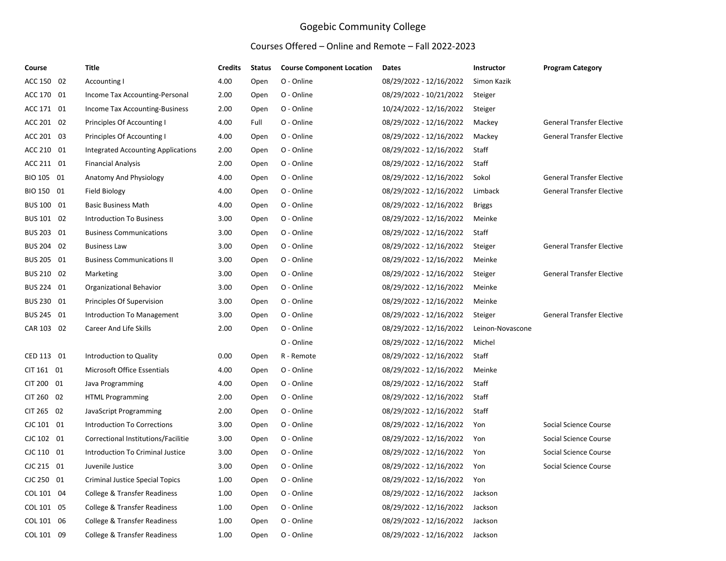## Gogebic Community College

## Courses Offered – Online and Remote – Fall 2022-2023

| Course     | <b>Title</b>                            | <b>Credits</b> | <b>Status</b> | <b>Course Component Location</b> | Dates                   | Instructor       | <b>Program Category</b>          |
|------------|-----------------------------------------|----------------|---------------|----------------------------------|-------------------------|------------------|----------------------------------|
| ACC 150 02 | Accounting I                            | 4.00           | Open          | O - Online                       | 08/29/2022 - 12/16/2022 | Simon Kazik      |                                  |
| ACC 170 01 | Income Tax Accounting-Personal          | 2.00           | Open          | O - Online                       | 08/29/2022 - 10/21/2022 | Steiger          |                                  |
| ACC 171 01 | Income Tax Accounting-Business          | 2.00           | Open          | O - Online                       | 10/24/2022 - 12/16/2022 | Steiger          |                                  |
| ACC 201 02 | Principles Of Accounting I              | 4.00           | Full          | O - Online                       | 08/29/2022 - 12/16/2022 | Mackey           | <b>General Transfer Elective</b> |
| ACC 201 03 | Principles Of Accounting I              | 4.00           | Open          | O - Online                       | 08/29/2022 - 12/16/2022 | Mackey           | <b>General Transfer Elective</b> |
| ACC 210 01 | Integrated Accounting Applications      | 2.00           | Open          | O - Online                       | 08/29/2022 - 12/16/2022 | Staff            |                                  |
| ACC 211 01 | <b>Financial Analysis</b>               | 2.00           | Open          | O - Online                       | 08/29/2022 - 12/16/2022 | Staff            |                                  |
| BIO 105 01 | Anatomy And Physiology                  | 4.00           | Open          | O - Online                       | 08/29/2022 - 12/16/2022 | Sokol            | <b>General Transfer Elective</b> |
| BIO 150 01 | Field Biology                           | 4.00           | Open          | O - Online                       | 08/29/2022 - 12/16/2022 | Limback          | <b>General Transfer Elective</b> |
| BUS 100 01 | <b>Basic Business Math</b>              | 4.00           | Open          | O - Online                       | 08/29/2022 - 12/16/2022 | <b>Briggs</b>    |                                  |
| BUS 101 02 | <b>Introduction To Business</b>         | 3.00           | Open          | O - Online                       | 08/29/2022 - 12/16/2022 | Meinke           |                                  |
| BUS 203 01 | <b>Business Communications</b>          | 3.00           | Open          | O - Online                       | 08/29/2022 - 12/16/2022 | Staff            |                                  |
| BUS 204 02 | <b>Business Law</b>                     | 3.00           | Open          | O - Online                       | 08/29/2022 - 12/16/2022 | Steiger          | <b>General Transfer Elective</b> |
| BUS 205 01 | <b>Business Communications II</b>       | 3.00           | Open          | O - Online                       | 08/29/2022 - 12/16/2022 | Meinke           |                                  |
| BUS 210 02 | Marketing                               | 3.00           | Open          | O - Online                       | 08/29/2022 - 12/16/2022 | Steiger          | <b>General Transfer Elective</b> |
| BUS 224 01 | Organizational Behavior                 | 3.00           | Open          | O - Online                       | 08/29/2022 - 12/16/2022 | Meinke           |                                  |
| BUS 230 01 | Principles Of Supervision               | 3.00           | Open          | O - Online                       | 08/29/2022 - 12/16/2022 | Meinke           |                                  |
| BUS 245 01 | Introduction To Management              | 3.00           | Open          | O - Online                       | 08/29/2022 - 12/16/2022 | Steiger          | <b>General Transfer Elective</b> |
| CAR 103 02 | <b>Career And Life Skills</b>           | 2.00           | Open          | O - Online                       | 08/29/2022 - 12/16/2022 | Leinon-Novascone |                                  |
|            |                                         |                |               | O - Online                       | 08/29/2022 - 12/16/2022 | Michel           |                                  |
| CED 113 01 | Introduction to Quality                 | 0.00           | Open          | R - Remote                       | 08/29/2022 - 12/16/2022 | Staff            |                                  |
| CIT 161 01 | Microsoft Office Essentials             | 4.00           | Open          | O - Online                       | 08/29/2022 - 12/16/2022 | Meinke           |                                  |
| CIT 200 01 | Java Programming                        | 4.00           | Open          | O - Online                       | 08/29/2022 - 12/16/2022 | Staff            |                                  |
| CIT 260 02 | <b>HTML Programming</b>                 | 2.00           | Open          | O - Online                       | 08/29/2022 - 12/16/2022 | Staff            |                                  |
| CIT 265 02 | JavaScript Programming                  | 2.00           | Open          | O - Online                       | 08/29/2022 - 12/16/2022 | Staff            |                                  |
| CJC 101 01 | <b>Introduction To Corrections</b>      | 3.00           | Open          | O - Online                       | 08/29/2022 - 12/16/2022 | Yon              | Social Science Course            |
| CJC 102 01 | Correctional Institutions/Facilitie     | 3.00           | Open          | O - Online                       | 08/29/2022 - 12/16/2022 | Yon              | Social Science Course            |
| CJC 110 01 | Introduction To Criminal Justice        | 3.00           | Open          | O - Online                       | 08/29/2022 - 12/16/2022 | Yon              | Social Science Course            |
| CJC 215 01 | Juvenile Justice                        | 3.00           | Open          | O - Online                       | 08/29/2022 - 12/16/2022 | Yon              | Social Science Course            |
| CJC 250 01 | <b>Criminal Justice Special Topics</b>  | 1.00           | Open          | O - Online                       | 08/29/2022 - 12/16/2022 | Yon              |                                  |
| COL 101 04 | College & Transfer Readiness            | 1.00           | Open          | O - Online                       | 08/29/2022 - 12/16/2022 | Jackson          |                                  |
| COL 101 05 | College & Transfer Readiness            | 1.00           | Open          | O - Online                       | 08/29/2022 - 12/16/2022 | Jackson          |                                  |
| COL 101 06 | College & Transfer Readiness            | 1.00           | Open          | O - Online                       | 08/29/2022 - 12/16/2022 | Jackson          |                                  |
| COL 101 09 | <b>College &amp; Transfer Readiness</b> | 1.00           | Open          | O - Online                       | 08/29/2022 - 12/16/2022 | Jackson          |                                  |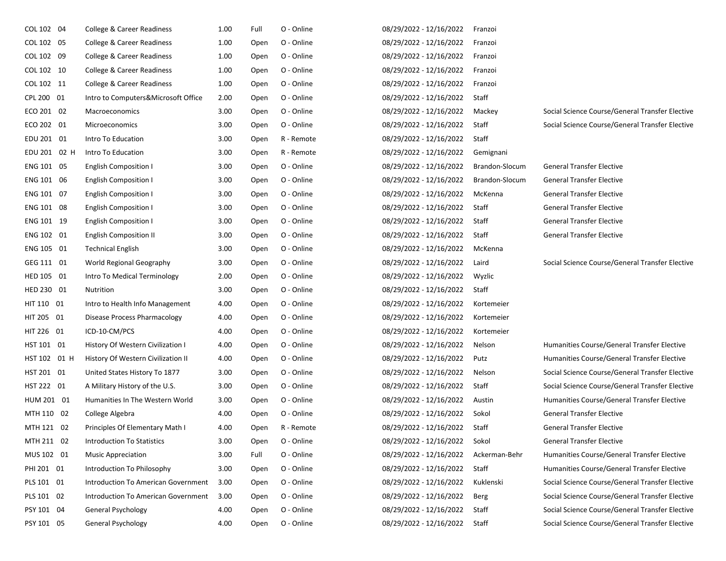| COL 102 04   | College & Career Readiness          | 1.00 | Full | O - Online | 08/29/2022 - 12/16/2022 | Franzoi        |                                                 |
|--------------|-------------------------------------|------|------|------------|-------------------------|----------------|-------------------------------------------------|
| COL 102 05   | College & Career Readiness          | 1.00 | Open | O - Online | 08/29/2022 - 12/16/2022 | Franzoi        |                                                 |
| COL 102 09   | College & Career Readiness          | 1.00 | Open | O - Online | 08/29/2022 - 12/16/2022 | Franzoi        |                                                 |
| COL 102 10   | College & Career Readiness          | 1.00 | Open | O - Online | 08/29/2022 - 12/16/2022 | Franzoi        |                                                 |
| COL 102 11   | College & Career Readiness          | 1.00 | Open | O - Online | 08/29/2022 - 12/16/2022 | Franzoi        |                                                 |
| CPL 200 01   | Intro to Computers&Microsoft Office | 2.00 | Open | O - Online | 08/29/2022 - 12/16/2022 | Staff          |                                                 |
| ECO 201 02   | Macroeconomics                      | 3.00 | Open | O - Online | 08/29/2022 - 12/16/2022 | Mackey         | Social Science Course/General Transfer Elective |
| ECO 202 01   | Microeconomics                      | 3.00 | Open | O - Online | 08/29/2022 - 12/16/2022 | Staff          | Social Science Course/General Transfer Elective |
| EDU 201 01   | Intro To Education                  | 3.00 | Open | R - Remote | 08/29/2022 - 12/16/2022 | Staff          |                                                 |
| EDU 201 02 H | Intro To Education                  | 3.00 | Open | R - Remote | 08/29/2022 - 12/16/2022 | Gemignani      |                                                 |
| ENG 101 05   | <b>English Composition I</b>        | 3.00 | Open | O - Online | 08/29/2022 - 12/16/2022 | Brandon-Slocum | <b>General Transfer Elective</b>                |
| ENG 101 06   | <b>English Composition I</b>        | 3.00 | Open | O - Online | 08/29/2022 - 12/16/2022 | Brandon-Slocum | <b>General Transfer Elective</b>                |
| ENG 101 07   | <b>English Composition I</b>        | 3.00 | Open | O - Online | 08/29/2022 - 12/16/2022 | McKenna        | <b>General Transfer Elective</b>                |
| ENG 101 08   | <b>English Composition I</b>        | 3.00 | Open | O - Online | 08/29/2022 - 12/16/2022 | Staff          | <b>General Transfer Elective</b>                |
| ENG 101 19   | <b>English Composition I</b>        | 3.00 | Open | O - Online | 08/29/2022 - 12/16/2022 | Staff          | <b>General Transfer Elective</b>                |
| ENG 102 01   | <b>English Composition II</b>       | 3.00 | Open | O - Online | 08/29/2022 - 12/16/2022 | Staff          | <b>General Transfer Elective</b>                |
| ENG 105 01   | <b>Technical English</b>            | 3.00 | Open | O - Online | 08/29/2022 - 12/16/2022 | McKenna        |                                                 |
| GEG 111 01   | World Regional Geography            | 3.00 | Open | O - Online | 08/29/2022 - 12/16/2022 | Laird          | Social Science Course/General Transfer Elective |
| HED 105 01   | Intro To Medical Terminology        | 2.00 | Open | O - Online | 08/29/2022 - 12/16/2022 | Wyzlic         |                                                 |
| HED 230 01   | Nutrition                           | 3.00 | Open | O - Online | 08/29/2022 - 12/16/2022 | Staff          |                                                 |
| HIT 110 01   | Intro to Health Info Management     | 4.00 | Open | O - Online | 08/29/2022 - 12/16/2022 | Kortemeier     |                                                 |
| HIT 205 01   | <b>Disease Process Pharmacology</b> | 4.00 | Open | O - Online | 08/29/2022 - 12/16/2022 | Kortemeier     |                                                 |
| HIT 226 01   | ICD-10-CM/PCS                       | 4.00 | Open | O - Online | 08/29/2022 - 12/16/2022 | Kortemeier     |                                                 |
| HST 101 01   | History Of Western Civilization I   | 4.00 | Open | O - Online | 08/29/2022 - 12/16/2022 | Nelson         | Humanities Course/General Transfer Elective     |
| HST 102 01 H | History Of Western Civilization II  | 4.00 | Open | O - Online | 08/29/2022 - 12/16/2022 | Putz           | Humanities Course/General Transfer Elective     |
| HST 201 01   | United States History To 1877       | 3.00 | Open | O - Online | 08/29/2022 - 12/16/2022 | Nelson         | Social Science Course/General Transfer Elective |
| HST 222 01   | A Military History of the U.S.      | 3.00 | Open | O - Online | 08/29/2022 - 12/16/2022 | Staff          | Social Science Course/General Transfer Elective |
| HUM 201 01   | Humanities In The Western World     | 3.00 | Open | O - Online | 08/29/2022 - 12/16/2022 | Austin         | Humanities Course/General Transfer Elective     |
| MTH 110 02   | College Algebra                     | 4.00 | Open | O - Online | 08/29/2022 - 12/16/2022 | Sokol          | <b>General Transfer Elective</b>                |
| MTH 121 02   | Principles Of Elementary Math I     | 4.00 | Open | R - Remote | 08/29/2022 - 12/16/2022 | Staff          | <b>General Transfer Elective</b>                |
| MTH 211 02   | <b>Introduction To Statistics</b>   | 3.00 | Open | O - Online | 08/29/2022 - 12/16/2022 | Sokol          | <b>General Transfer Elective</b>                |
| MUS 102 01   | <b>Music Appreciation</b>           | 3.00 | Full | O - Online | 08/29/2022 - 12/16/2022 | Ackerman-Behr  | Humanities Course/General Transfer Elective     |
| PHI 201 01   | Introduction To Philosophy          | 3.00 | Open | O - Online | 08/29/2022 - 12/16/2022 | Staff          | Humanities Course/General Transfer Elective     |
| PLS 101 01   | Introduction To American Government | 3.00 | Open | O - Online | 08/29/2022 - 12/16/2022 | Kuklenski      | Social Science Course/General Transfer Elective |
| PLS 101 02   | Introduction To American Government | 3.00 | Open | O - Online | 08/29/2022 - 12/16/2022 | Berg           | Social Science Course/General Transfer Elective |
| PSY 101 04   | General Psychology                  | 4.00 | Open | O - Online | 08/29/2022 - 12/16/2022 | Staff          | Social Science Course/General Transfer Elective |
| PSY 101 05   | General Psychology                  | 4.00 | Open | O - Online | 08/29/2022 - 12/16/2022 | Staff          | Social Science Course/General Transfer Elective |
|              |                                     |      |      |            |                         |                |                                                 |